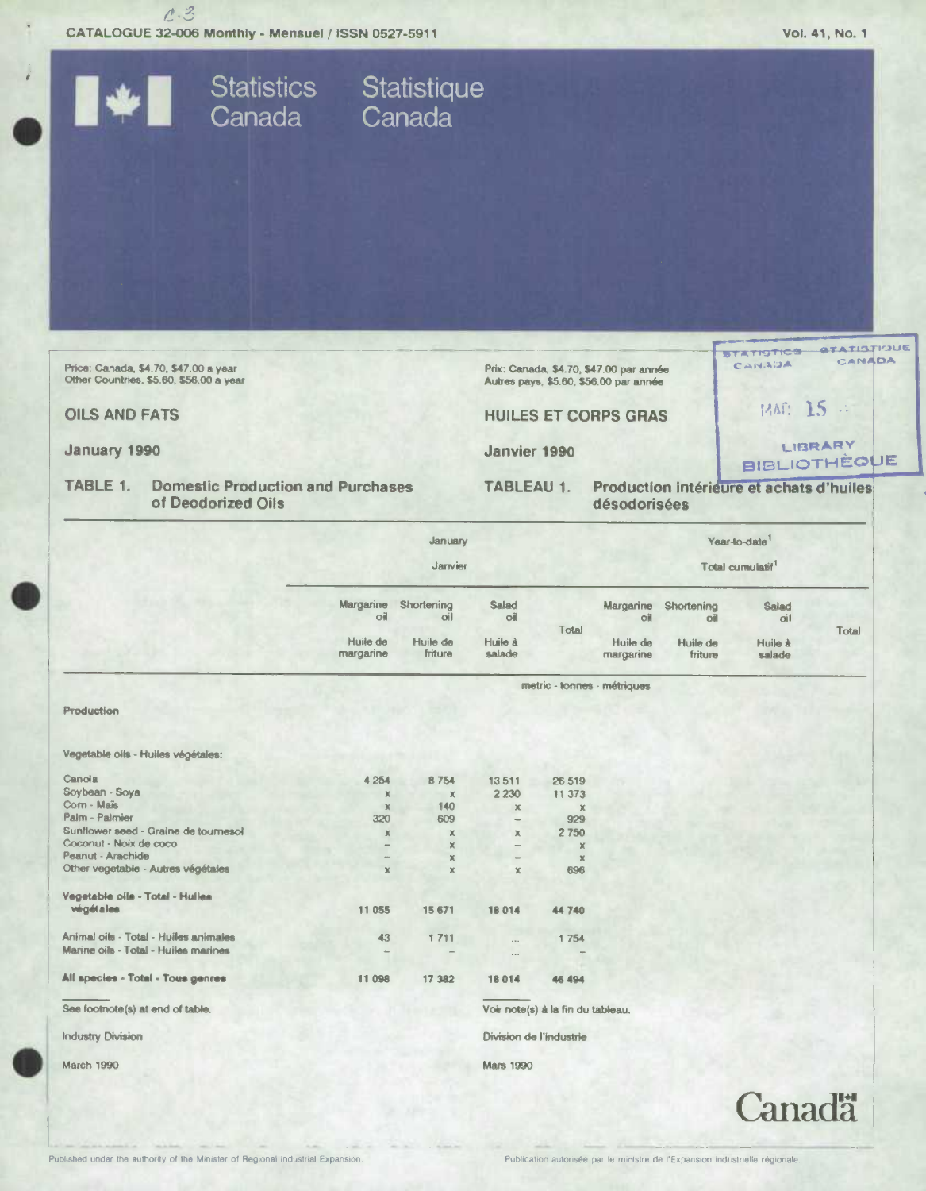$c.3$ CATALOGUE 32-006 Monthly - Mensuel / ISSN 0527-5911 Vol. 41, No. 1 Statistics Statistique<br>Canada Canada STATISTICS STATISTIQUE CANADA CANADA Price: Canada, \$4.70, \$47.00 a year<br>Other Countries, \$5.60, \$56.00 a year Prix: Canada, \$4.70, \$47.00 par année

**OILS AND FATS** 

January 1990

**TABLE 1. Domestic Production and Purchases** of Deodorized Oils

Autres pays, \$5.60, \$56.00 par année

**HUILES ET CORPS GRAS** 

Janvier 1990

**TABLEAU 1.** 

**BIBLIOTHÈQUE** Production intérieure et achats d'huiles désodorisées

MAG: 15 .:

**Canadä** 

LIBRARY

|                                       | January                     |                     |                   | Year-to-date<br>Total cumulatif <sup>1</sup> |                       |                               |                     |       |
|---------------------------------------|-----------------------------|---------------------|-------------------|----------------------------------------------|-----------------------|-------------------------------|---------------------|-------|
|                                       | Janvier                     |                     |                   |                                              |                       |                               |                     |       |
|                                       | Margarine<br>оi             | Shortening<br>oil   | Salad<br>оil      | Total                                        | Margarine<br>oil      | Shortening<br>o <sub>  </sub> | <b>Salad</b><br>oil | Total |
|                                       | Huile de<br>margarine       | Huile de<br>friture | Huile à<br>salade |                                              | Huile de<br>margarine | Huile de<br>friture           | Huile à<br>salade   |       |
|                                       | metric - tonnes - métriques |                     |                   |                                              |                       |                               |                     |       |
| <b>Production</b>                     |                             |                     |                   |                                              |                       |                               |                     |       |
| Vegetable oils - Huiles végétales:    |                             |                     |                   |                                              |                       |                               |                     |       |
| Canola                                | 4 2 5 4                     | 8754                | 13511             | 26 519                                       |                       |                               |                     |       |
| Soybean - Soya                        | $\mathbb X$                 | $\mathbb X$         | 2 2 3 0           | 11 373                                       |                       |                               |                     |       |
| Corn - Maïs                           | $\chi$                      | 140                 | $\mathbb K$       | $\chi$                                       |                       |                               |                     |       |
| Palm - Palmier                        | 320                         | 609                 | -                 | 929                                          |                       |                               |                     |       |
| Sunflower seed - Graine de tournesol  | $\mathbb X$                 | $\pmb{\times}$      | $\mathbb X$       | 2750                                         |                       |                               |                     |       |
| Coconut - Noix de coco                |                             | $\mathbb{X}$        |                   | $\mathbb X$                                  |                       |                               |                     |       |
| Peanut - Arachide                     |                             | ×                   | -                 | $\mathbf x$                                  |                       |                               |                     |       |
| Other vegetable - Autres végétales    | $\mathbb X$                 | $\mathbf x$         | $\mathbf x$       | 696                                          |                       |                               |                     |       |
| Vegetable oils - Total - Hulles       |                             |                     |                   |                                              |                       |                               |                     |       |
| végétales                             | 11 055                      | 15 671              | 18014             | 44740                                        |                       |                               |                     |       |
| Animal oils - Total - Huiles animales | 43                          | 1711                | $\cdots$          | 1754                                         |                       |                               |                     |       |
| Marine oils - Total - Huiles marines  |                             |                     | $\cdots$          |                                              |                       |                               |                     |       |
| All species - Total - Tous genres     | 11 098                      | 17 382              | 18014             | 46 494                                       |                       |                               |                     |       |
| See footnote(s) at end of table.      |                             |                     |                   | Voir note(s) à la fin du tableau.            |                       |                               |                     |       |
| <b>Industry Division</b>              |                             |                     |                   | Division de l'industrie                      |                       |                               |                     |       |
| March 1990                            |                             |                     | <b>Mars 1990</b>  |                                              |                       |                               |                     |       |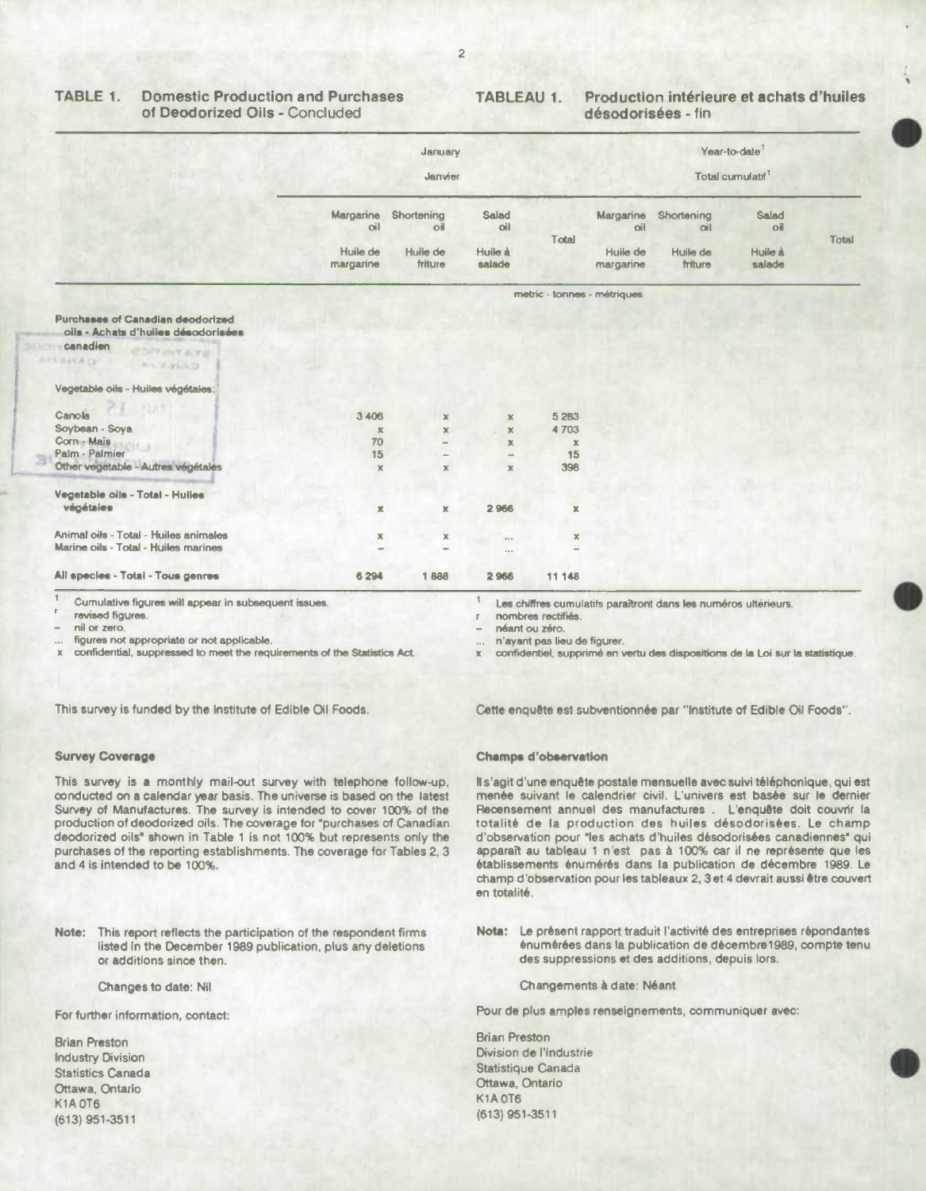#### TABLE 1. **Domestic Production and Purchases** of Deodorized Oils - Concluded

#### Production intérieure et achats d'huiles **TABLEAU 1.** désodorisées - fin

|                                                                                                                                              | January<br>Janvier                                   |                                                     |                                   | Year-to-date<br>Total curnulatif <sup>1</sup> |                                           |                                          |                                               |       |
|----------------------------------------------------------------------------------------------------------------------------------------------|------------------------------------------------------|-----------------------------------------------------|-----------------------------------|-----------------------------------------------|-------------------------------------------|------------------------------------------|-----------------------------------------------|-------|
|                                                                                                                                              | Margarine<br>oil<br>Huile de<br>margarine            | Shortening<br>oil<br>Huile de<br>friture            | Salad<br>oil<br>Huile à<br>salade | Total                                         | Margarine<br>oil<br>Huile de<br>margarine | Shortening<br>oil<br>Huile de<br>friture | Salad<br>O <sub>II</sub><br>Huile à<br>salade | Total |
|                                                                                                                                              |                                                      |                                                     |                                   |                                               | metric - tonnes - métriques               |                                          |                                               |       |
| Purchases of Canadian deodorized<br>olls - Achats d'huiles désodorisées<br>canadien<br><b>COT OTATE</b><br><b>SIBILIA CA</b><br>Ancientifica |                                                      |                                                     |                                   |                                               |                                           |                                          |                                               |       |
| Vegetable oils - Huiles végétales:                                                                                                           |                                                      |                                                     |                                   |                                               |                                           |                                          |                                               |       |
| Canola<br>Soybean - Soya<br>Corn - Maïs<br>Palm - Palmier<br>Other vegetable - Autres végétales                                              | 3 4 0 6<br>$\mathbb X$<br>70<br>15<br>$\pmb{\times}$ | $\mathbf{x}$<br>$\mathbf{x}$<br>÷<br>$\pmb{\times}$ | ×<br>×<br>×<br>$\rightarrow$<br>× | 5 2 8 3<br>4703<br>×<br>15<br>396             |                                           |                                          |                                               |       |
| Vegetable oils - Total - Huiles<br>végétales                                                                                                 | $\mathbf x$                                          | $\mathbf x$                                         | 2966                              | ×                                             |                                           |                                          |                                               |       |
| Animal oils - Total - Huiles animales<br>Marine oils - Total - Huiles marines                                                                | x<br>÷                                               | ×                                                   | $0.4 - 0.$<br>$\cdots$            | ×                                             |                                           |                                          |                                               |       |
| All species - Total - Tous genres                                                                                                            | 6 294                                                | 1888                                                | 2966                              | 11 148                                        |                                           |                                          |                                               |       |

Cumulative figures will appear in subsequent issues.

revised figures. nil or zero.

figures not appropriate or not applicable.

confidential, suppressed to meet the requirements of the Statistics Act.

Les chiffres cumulatifs paraîtront dans les numéros ultérieurs.

nombres rectifiés r.

néant ou zéro.

n'ayant pas lieu de figurer.

x confidentiel, supprimé en vertu des dispositions de la Loi sur la statistique.

This survey is funded by the Institute of Edible Oil Foods.

### **Survey Coverage**

This survey is a monthly mail-out survey with telephone follow-up, conducted on a calendar year basis. The universe is based on the latest Survey of Manufactures. The survey is intended to cover 100% of the production of deodorized oils. The coverage for "purchases of Canadian deodorized oils" shown in Table 1 is not 100% but represents only the purchases of the reporting establishments. The coverage for Tables 2, 3 and 4 is intended to be 100%.

Note: This report reflects the participation of the respondent firms listed in the December 1989 publication, plus any deletions or additions since then.

Changes to date: Nil

For further information, contact:

**Brian Preston Industry Division Statistics Canada** Ottawa, Ontario **K1A 0T6** (613) 951-3511

Cette enquête est subventionnée par "Institute of Edible Oil Foods".

### **Champs d'observation**

Il s'agit d'une enquête postale mensuelle avec suivi téléphonique, qui est menée suivant le calendrier civil. L'univers est basée sur le dernier Recensement annuel des manufactures . L'enquête doit couvrir la totalité de la production des huiles désodorisées. Le champ d'observation pour "les achats d'huiles désodorisées canadiennes" qui apparaît au tableau 1 n'est pas à 100% car il ne représente que les établissements énumérés dans la publication de décembre 1989. Le champ d'observation pour les tableaux 2, 3 et 4 devrait aussi être couvert en totalité.

Nota: Le présent rapport traduit l'activité des entreprises répondantes énumérées dans la publication de décembre 1989, compte tenu des suppressions et des additions, depuis lors.

Changements à date: Néant

Pour de plus amples renseignements, communiquer avec:

**Brian Preston** Division de l'industrie Statistique Canada Ottawa, Ontario **K1A 0T6** (613) 951-3511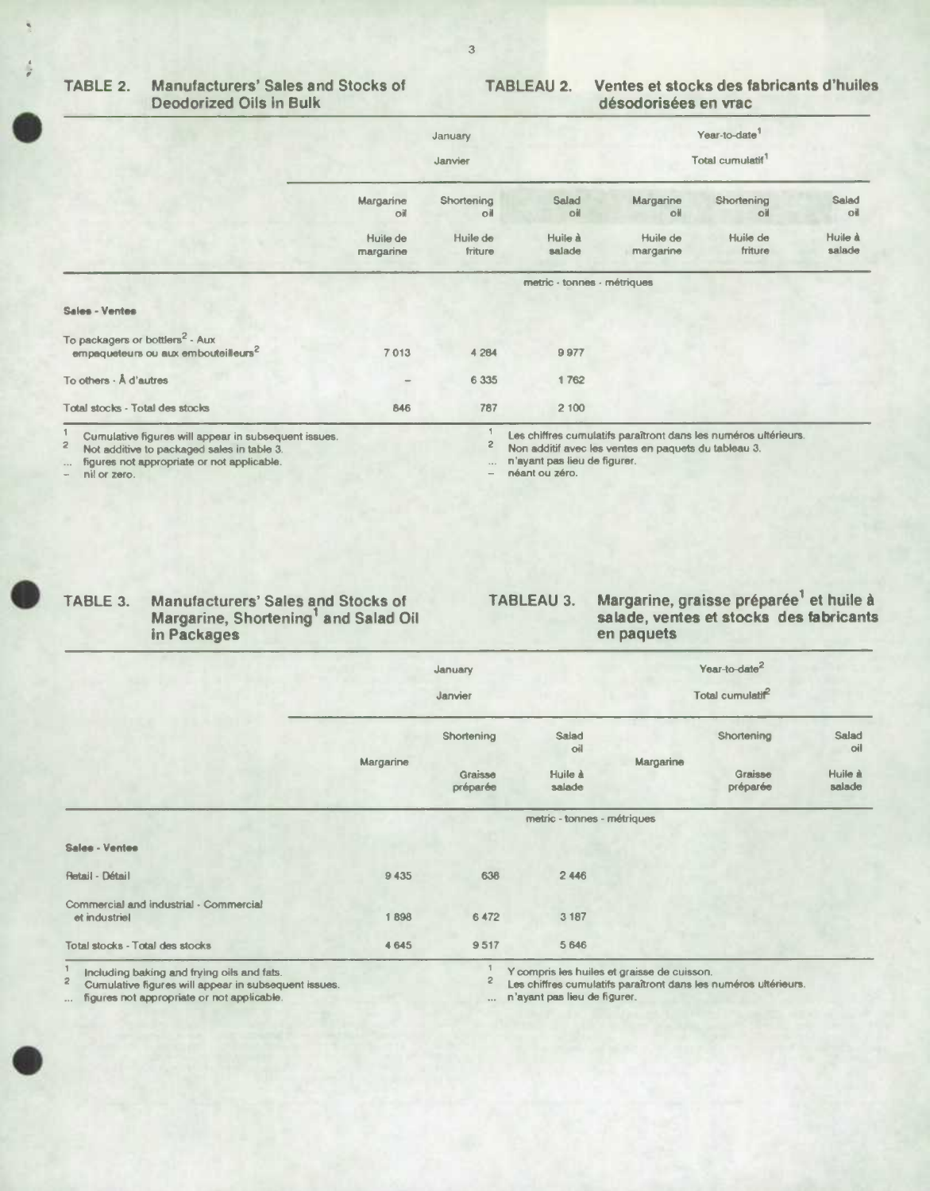#### TABLE 2. **Manufacturers' Sales and Stocks of Deodorized Oils in Bulk**

#### Ventes et stocks des fabricants d'huiles **TABLEAU 2.** désodorisées en vrac

|                                                                                                | January<br>Janvier           |                     |                   | Year-to-date <sup>1</sup><br>Total cumulatif <sup>1</sup> |                     |                   |  |  |
|------------------------------------------------------------------------------------------------|------------------------------|---------------------|-------------------|-----------------------------------------------------------|---------------------|-------------------|--|--|
|                                                                                                | Margarine<br>oil             | Shortening<br>оil   | Salad<br>oil      | Margarine<br>oil                                          | Shortening<br>oil   | Salad<br>oil      |  |  |
|                                                                                                | Huile de<br>margarine        | Huile de<br>friture | Huile à<br>salade | Huile de<br>margarine                                     | Huile de<br>friture | Huile à<br>salade |  |  |
|                                                                                                | metric - tonnes - métriques  |                     |                   |                                                           |                     |                   |  |  |
| Sales - Ventes                                                                                 |                              |                     |                   |                                                           |                     |                   |  |  |
| To packagers or bottlers <sup>2</sup> - Aux<br>empaqueteurs ou aux embouteilleurs <sup>2</sup> | 7013                         | 4 2 8 4             | 9977              |                                                           |                     |                   |  |  |
| To others - Å d'autres                                                                         | $\qquad \qquad \blacksquare$ | 6 3 3 5             | 1762              |                                                           |                     |                   |  |  |
| Total stocks - Total des stocks                                                                | 846                          | 787                 | 2 100             |                                                           |                     |                   |  |  |

Curnulative figures will appear in subsequent issues.

 $\bar{z}$ Not additive to packaged sales in table 3.

figures not appropriate or not applicable.

nil or zero.

Les chiffres currulatifs paraîtront dans les numéros ultérieurs.

 $\mathsf S$ Non additif avec les ventes en paquets du tableau 3.

n'ayant pas lieu de figurer.  $\cdots$ néant ou zéro.



### Manufacturers' Sales and Stocks of<br>Margarine, Shortening<sup>1</sup> and Salad Oil TABLE 3. in Packages

## Margarine, graisse préparée<sup>1</sup> et huile à<br>salade, ventes et stocks des fabricants **TABLEAU 3.** en paquets

|                                                         |           | January             |                             | Year-to-date <sup>2</sup> |                   |
|---------------------------------------------------------|-----------|---------------------|-----------------------------|---------------------------|-------------------|
|                                                         |           | Janvier             |                             | Total cumulatif           |                   |
|                                                         | Margarine | Shortening          | Salad<br>oil                | Shortening<br>Margarine   | Salad<br>oil      |
|                                                         |           | Graisse<br>préparée | Huile à<br>salade           | Graisse<br>préparée       | Huile à<br>salade |
|                                                         |           |                     | metric - tonnes - métriques |                           |                   |
| Sales - Ventes                                          |           |                     |                             |                           |                   |
| Retail - Détail                                         | 9435      | 638                 | 2 4 4 6                     |                           |                   |
| Commercial and industrial - Commercial<br>et industriel | 1898      | 6 472               | 3 187                       |                           |                   |
| Total stocks - Total des stocks                         | 4 6 4 5   | 9517                | 5 6 4 6                     |                           |                   |

Including baking and frying oils and fats.

 $\overline{\mathbf{c}}$ Cumulative figures will appear in subsequent issues.

figures not appropriate or not applicable.

Y compris les huiles et graisse de cuisson.

 $\mathbf{2}$ Les chiffres cumulatifs paraîtront dans les numéros ultérieurs.

n'ayant pas lieu de figurer.  $\ddot{\phantom{a}}$